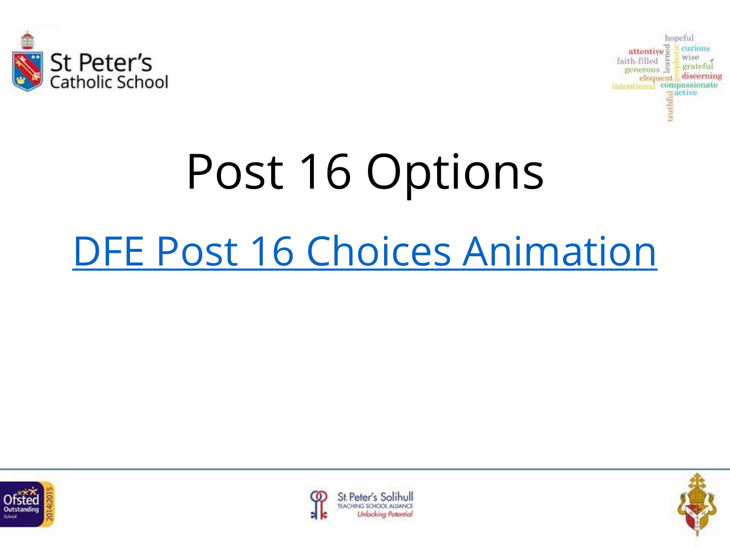



# Post 16 Options [DFE Post 16 Choices Animation](https://www.youtube.com/watch?v=f_xAQNNi4pA&feature=youtu.be)





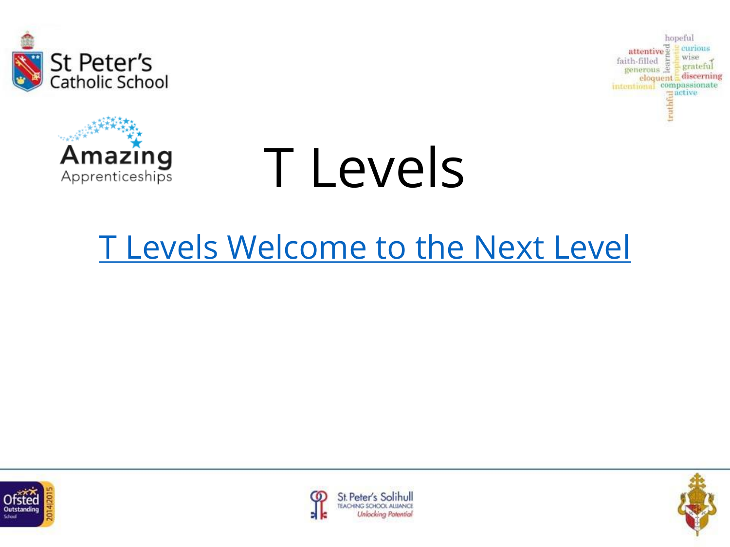





### [T Levels Welcome to the Next Level](https://www.youtube.com/watch?time_continue=11&v=CYccTnWxwW0&feature=emb_logo)





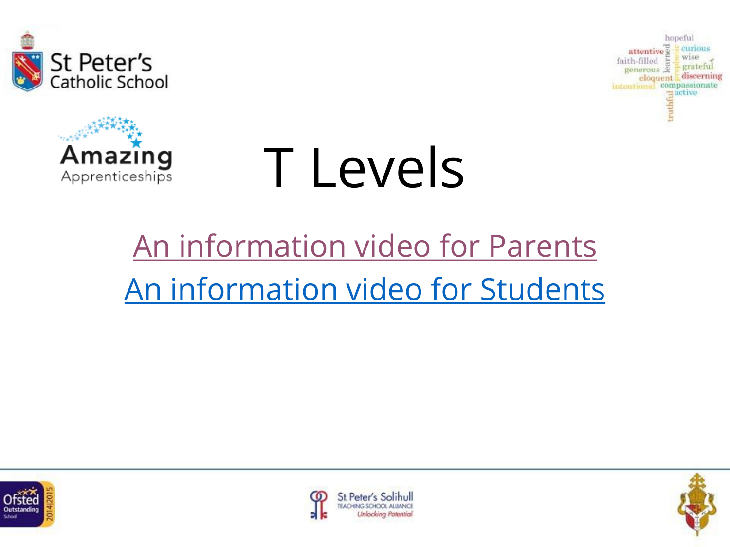





## [An information video for Parents](https://amazingapprenticeships.com/resource/t-levels-film-for-parents/) [An information video for Students](https://amazingapprenticeships.com/resource/t-levels-film-for-students/)





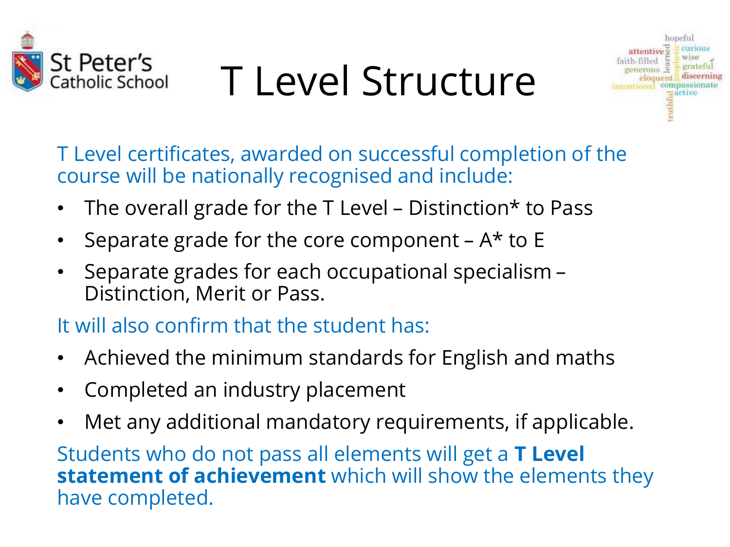

## T Level Structure



T Level certificates, awarded on successful completion of the course will be nationally recognised and include:

- The overall grade for the T Level Distinction\* to Pass
- Separate grade for the core component  $A^*$  to E
- Separate grades for each occupational specialism Distinction, Merit or Pass.

It will also confirm that the student has:

- Achieved the minimum standards for English and maths
- Completed an industry placement
- Met any additional mandatory requirements, if applicable.

Students who do not pass all elements will get a **T Level statement of achievement** which will show the elements they have completed.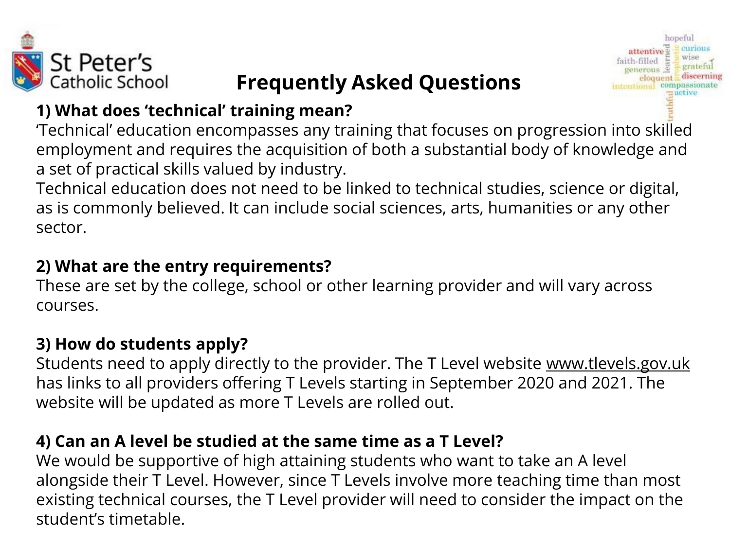

#### **Frequently Asked Questions**

grateful

discerning

#### **1) What does 'technical' training mean?**

'Technical' education encompasses any training that focuses on progression into skilled employment and requires the acquisition of both a substantial body of knowledge and a set of practical skills valued by industry.

Technical education does not need to be linked to technical studies, science or digital, as is commonly believed. It can include social sciences, arts, humanities or any other sector.

#### **2) What are the entry requirements?**

These are set by the college, school or other learning provider and will vary across courses.

#### **3) How do students apply?**

Students need to apply directly to the provider. The T Level website www.tlevels.gov.uk has links to all providers offering T Levels starting in September 2020 and 2021. The website will be updated as more T Levels are rolled out.

#### **4) Can an A level be studied at the same time as a T Level?**

We would be supportive of high attaining students who want to take an A level alongside their T Level. However, since T Levels involve more teaching time than most existing technical courses, the T Level provider will need to consider the impact on the student's timetable.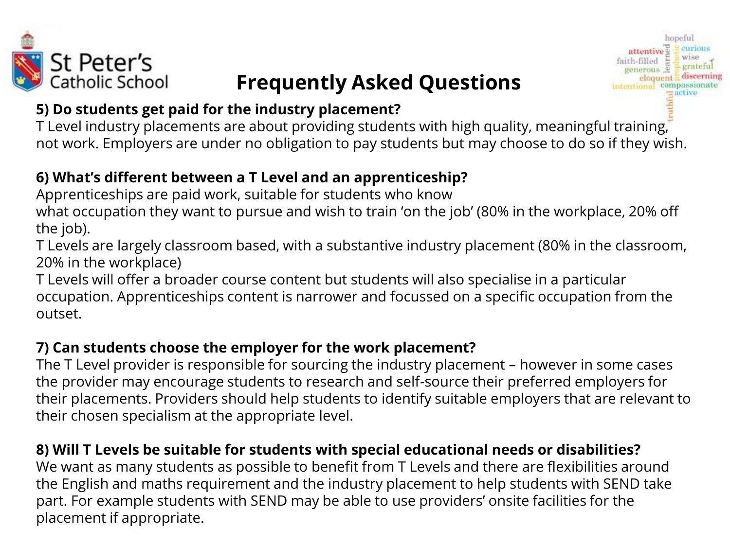

#### **Frequently Asked Questions**

attentive<sup>®</sup>

faith-filled

WISP

compassionate

grateful eloquent discerning



T Level industry placements are about providing students with high quality, meaningful training, not work. Employers are under no obligation to pay students but may choose to do so if they wish.

#### **6) What's different between a T Level and an apprenticeship?**

Apprenticeships are paid work, suitable for students who know

what occupation they want to pursue and wish to train 'on the job' (80% in the workplace, 20% off the job).

T Levels are largely classroom based, with a substantive industry placement (80% in the classroom, 20% in the workplace)

T Levels will offer a broader course content but students will also specialise in a particular occupation. Apprenticeships content is narrower and focussed on a specific occupation from the outset.

#### **7) Can students choose the employer for the work placement?**

The T Level provider is responsible for sourcing the industry placement – however in some cases the provider may encourage students to research and self-source their preferred employers for their placements. Providers should help students to identify suitable employers that are relevant to their chosen specialism at the appropriate level.

#### **8) Will T Levels be suitable for students with special educational needs or disabilities?**

We want as many students as possible to benefit from T Levels and there are flexibilities around the English and maths requirement and the industry placement to help students with SEND take part. For example students with SEND may be able to use providers' onsite facilities for the placement if appropriate.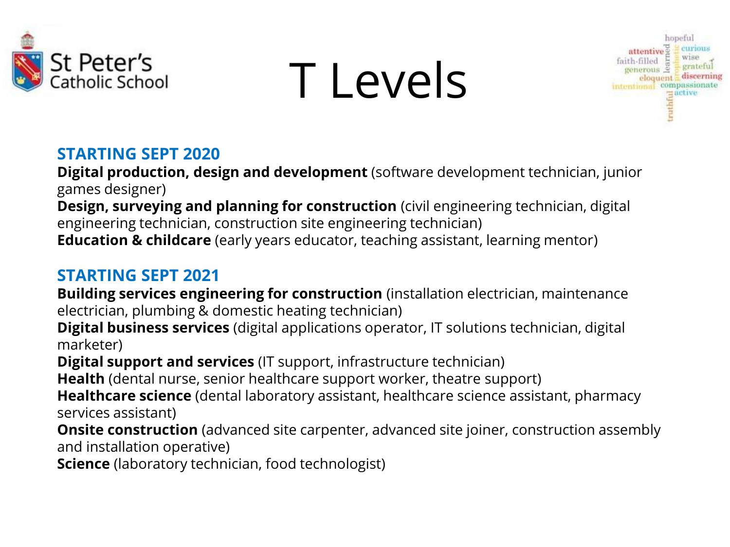



#### **STARTING SEPT 2020**

**Digital production, design and development** (software development technician, junior games designer)

**Design, surveying and planning for construction** (civil engineering technician, digital engineering technician, construction site engineering technician) **Education & childcare** (early years educator, teaching assistant, learning mentor)

#### **STARTING SEPT 2021**

**Building services engineering for construction** (installation electrician, maintenance electrician, plumbing & domestic heating technician)

**Digital business services** (digital applications operator, IT solutions technician, digital marketer)

**Digital support and services** (IT support, infrastructure technician)

**Health** (dental nurse, senior healthcare support worker, theatre support)

**Healthcare science** (dental laboratory assistant, healthcare science assistant, pharmacy services assistant)

**Onsite construction** (advanced site carpenter, advanced site joiner, construction assembly and installation operative)

**Science** (laboratory technician, food technologist)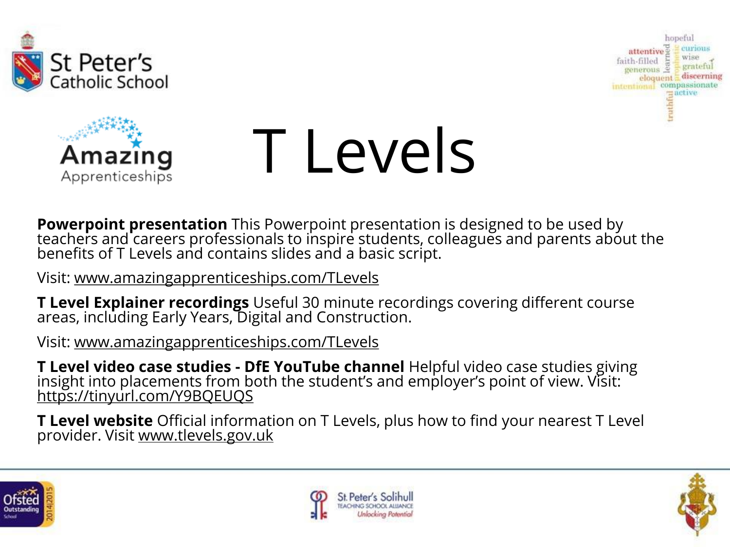





**Powerpoint presentation** This Powerpoint presentation is designed to be used by teachers and careers professionals to inspire students, colleagues and parents about the benefits of T Levels and contains slides and a basic script.

Visit: www.amazingapprenticeships.com/TLevels

**T Level Explainer recordings** Useful 30 minute recordings covering different course areas, including Early Years, Digital and Construction.

Visit: www.amazingapprenticeships.com/TLevels

**T Level video case studies - DfE YouTube channel** Helpful video case studies giving insight into placements from both the student's and employer's point of view. Visit: https://tinyurl.com/Y9BQEUQS

**T Level website** Official information on T Levels, plus how to find your nearest T Level provider. Visit www.tlevels.gov.uk